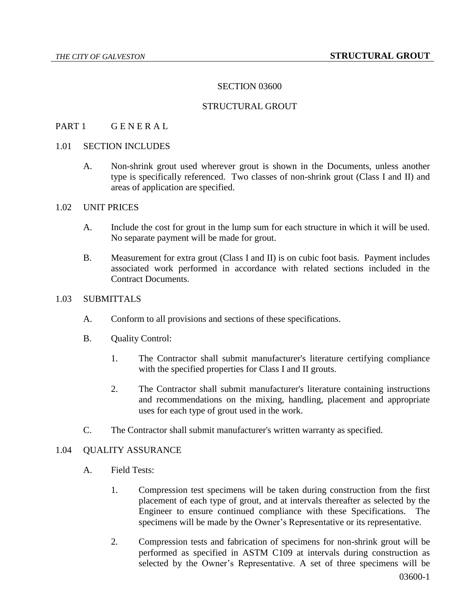### SECTION 03600

### STRUCTURAL GROUT

#### PART 1 GENERAL

# 1.01 SECTION INCLUDES

A. Non-shrink grout used wherever grout is shown in the Documents, unless another type is specifically referenced. Two classes of non-shrink grout (Class I and II) and areas of application are specified.

#### 1.02 UNIT PRICES

- A. Include the cost for grout in the lump sum for each structure in which it will be used. No separate payment will be made for grout.
- B. Measurement for extra grout (Class I and II) is on cubic foot basis. Payment includes associated work performed in accordance with related sections included in the Contract Documents.

### 1.03 SUBMITTALS

- A. Conform to all provisions and sections of these specifications.
- B. Quality Control:
	- 1. The Contractor shall submit manufacturer's literature certifying compliance with the specified properties for Class I and II grouts.
	- 2. The Contractor shall submit manufacturer's literature containing instructions and recommendations on the mixing, handling, placement and appropriate uses for each type of grout used in the work.
- C. The Contractor shall submit manufacturer's written warranty as specified.

#### 1.04 QUALITY ASSURANCE

- A. Field Tests:
	- 1. Compression test specimens will be taken during construction from the first placement of each type of grout, and at intervals thereafter as selected by the Engineer to ensure continued compliance with these Specifications. The specimens will be made by the Owner's Representative or its representative.
	- 2. Compression tests and fabrication of specimens for non-shrink grout will be performed as specified in ASTM C109 at intervals during construction as selected by the Owner's Representative. A set of three specimens will be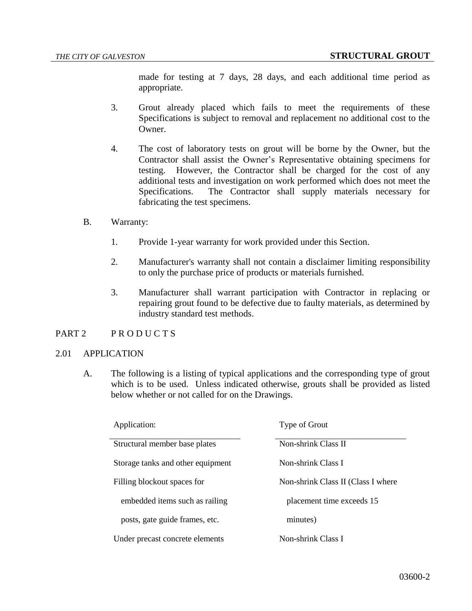made for testing at 7 days, 28 days, and each additional time period as appropriate.

- 3. Grout already placed which fails to meet the requirements of these Specifications is subject to removal and replacement no additional cost to the Owner.
- 4. The cost of laboratory tests on grout will be borne by the Owner, but the Contractor shall assist the Owner's Representative obtaining specimens for testing. However, the Contractor shall be charged for the cost of any additional tests and investigation on work performed which does not meet the Specifications. The Contractor shall supply materials necessary for fabricating the test specimens.
- B. Warranty:
	- 1. Provide 1-year warranty for work provided under this Section.
	- 2. Manufacturer's warranty shall not contain a disclaimer limiting responsibility to only the purchase price of products or materials furnished.
	- 3. Manufacturer shall warrant participation with Contractor in replacing or repairing grout found to be defective due to faulty materials, as determined by industry standard test methods.

# PART 2 PRODUCTS

#### 2.01 APPLICATION

A. The following is a listing of typical applications and the corresponding type of grout which is to be used. Unless indicated otherwise, grouts shall be provided as listed below whether or not called for on the Drawings.

| Application:                      | Type of Grout                      |
|-----------------------------------|------------------------------------|
| Structural member base plates     | Non-shrink Class II                |
| Storage tanks and other equipment | Non-shrink Class I                 |
| Filling blockout spaces for       | Non-shrink Class II (Class I where |
| embedded items such as railing    | placement time exceeds 15          |
| posts, gate guide frames, etc.    | minutes)                           |
| Under precast concrete elements   | Non-shrink Class I                 |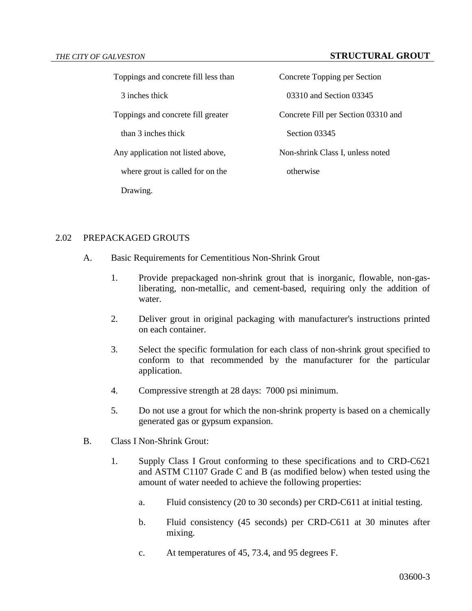#### *THE CITY OF GALVESTON* **STRUCTURAL GROUT**

Toppings and concrete fill less than Concrete Topping per Section

than 3 inches thick Section 03345

where grout is called for on the otherwise

Drawing.

3 inches thick 03310 and Section 03345 Toppings and concrete fill greater Concrete Fill per Section 03310 and Any application not listed above, Non-shrink Class I, unless noted

## 2.02 PREPACKAGED GROUTS

- A. Basic Requirements for Cementitious Non-Shrink Grout
	- 1. Provide prepackaged non-shrink grout that is inorganic, flowable, non-gasliberating, non-metallic, and cement-based, requiring only the addition of water.
	- 2. Deliver grout in original packaging with manufacturer's instructions printed on each container.
	- 3. Select the specific formulation for each class of non-shrink grout specified to conform to that recommended by the manufacturer for the particular application.
	- 4. Compressive strength at 28 days: 7000 psi minimum.
	- 5. Do not use a grout for which the non-shrink property is based on a chemically generated gas or gypsum expansion.
- B. Class I Non-Shrink Grout:
	- 1. Supply Class I Grout conforming to these specifications and to CRD-C621 and ASTM C1107 Grade C and B (as modified below) when tested using the amount of water needed to achieve the following properties:
		- a. Fluid consistency (20 to 30 seconds) per CRD-C611 at initial testing.
		- b. Fluid consistency (45 seconds) per CRD-C611 at 30 minutes after mixing.
		- c. At temperatures of 45, 73.4, and 95 degrees F.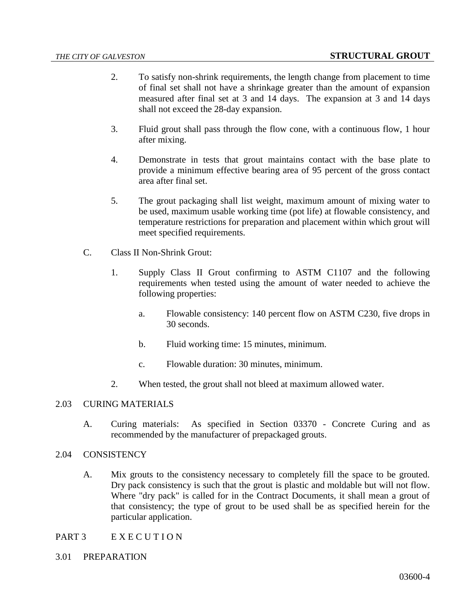- 2. To satisfy non-shrink requirements, the length change from placement to time of final set shall not have a shrinkage greater than the amount of expansion measured after final set at 3 and 14 days. The expansion at 3 and 14 days shall not exceed the 28-day expansion.
- 3. Fluid grout shall pass through the flow cone, with a continuous flow, 1 hour after mixing.
- 4. Demonstrate in tests that grout maintains contact with the base plate to provide a minimum effective bearing area of 95 percent of the gross contact area after final set.
- 5. The grout packaging shall list weight, maximum amount of mixing water to be used, maximum usable working time (pot life) at flowable consistency, and temperature restrictions for preparation and placement within which grout will meet specified requirements.
- C. Class II Non-Shrink Grout:
	- 1. Supply Class II Grout confirming to ASTM C1107 and the following requirements when tested using the amount of water needed to achieve the following properties:
		- a. Flowable consistency: 140 percent flow on ASTM C230, five drops in 30 seconds.
		- b. Fluid working time: 15 minutes, minimum.
		- c. Flowable duration: 30 minutes, minimum.
	- 2. When tested, the grout shall not bleed at maximum allowed water.

## 2.03 CURING MATERIALS

A. Curing materials: As specified in Section 03370 - Concrete Curing and as recommended by the manufacturer of prepackaged grouts.

# 2.04 CONSISTENCY

- A. Mix grouts to the consistency necessary to completely fill the space to be grouted. Dry pack consistency is such that the grout is plastic and moldable but will not flow. Where "dry pack" is called for in the Contract Documents, it shall mean a grout of that consistency; the type of grout to be used shall be as specified herein for the particular application.
- PART 3 E X E C U T I O N
- 3.01 PREPARATION